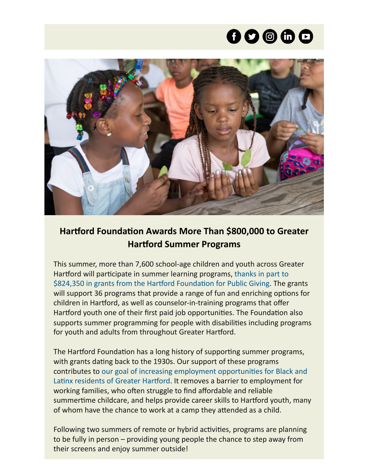# $\mathbf{O} \mathbf{O} \oplus \mathbf{O}$



# **Hartford Foundation Awards More Than \$800,000 to Greater Hartford Summer Programs**

This summer, more than 7,600 school-age children and youth across Greater Hartford will participate in summer learning programs, thanks in part to [\\$824,350 in grants from the Hartford Foundation for Public Giving. The g](https://www.hfpg.org/what-we-do/new-and-noteworthy/hartford-foundation-awards-more-than-800000-to-greater-hartford-summer-programs-1)rants will support 36 programs that provide a range of fun and enriching options for children in Hartford, as well as counselor-in-training programs that offer Hartford youth one of their first paid job opportunities. The Foundation also supports summer programming for people with disabilities including programs for youth and adults from throughout Greater Hartford.

The Hartford Foundation has a long history of supporting summer programs, with grants dating back to the 1930s. Our support of these programs [contributes to our goal of increasing employment opportunities for Black and](https://www.hfpg.org/what-we-do/our-outcome-areas/employment-opportunities) Latinx residents of Greater Hartford. It removes a barrier to employment for working families, who often struggle to find affordable and reliable summertime childcare, and helps provide career skills to Hartford youth, many of whom have the chance to work at a camp they attended as a child.

Following two summers of remote or hybrid activities, programs are planning to be fully in person – providing young people the chance to step away from their screens and enjoy summer outside!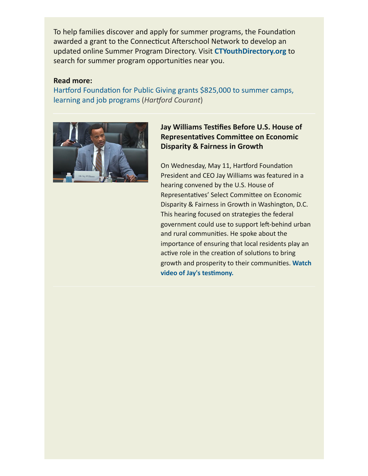To help families discover and apply for summer programs, the Foundation awarded a grant to the Connecticut Afterschool Network to develop an updated online Summer Program Directory. Visit **[CTYouthDirectory.org](https://ctyouthdirectory.org/)** to search for summer program opportunities near you.

## **Read more:**

[Hartford Foundation for Public Giving grants \\$825,000 to summer camps,](https://www.courant.com/news/connecticut/hc-news-hartford-foundation-summer-program-grants-20220511-gk53b3wwmnbtngdb2feme76nki-story.html) learning and job programs (*Hartford Courant*)



# **Jay Williams Testifies Before U.S. House of Representatives Committee on Economic Disparity & Fairness in Growth**

On Wednesday, May 11, Hartford Foundation President and CEO Jay Williams was featured in a hearing convened by the U.S. House of Representatives' Select Committee on Economic Disparity & Fairness in Growth in Washington, D.C. This hearing focused on strategies the federal government could use to support left-behind urban and rural communities. He spoke about the importance of ensuring that local residents play an active role in the creation of solutions to bring [growth and prosperity to their communities.](https://youtu.be/TPhUlO7n2m0?t=1160) **Watch video of Jay's testimony.**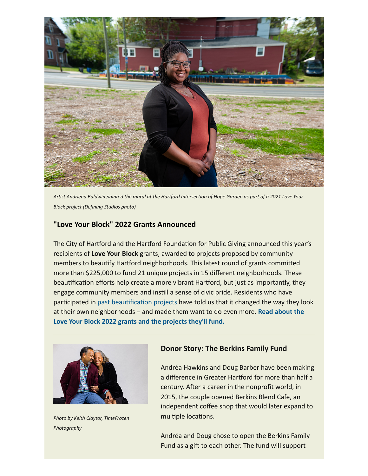

*Artist Andriena Baldwin painted the mural at the Hartford Intersection of Hope Garden as part of a 2021 Love Your Block project (Defining Studios photo)*

# **"Love Your Block" 2022 Grants Announced**

The City of Hartford and the Hartford Foundation for Public Giving announced this year's recipients of **Love Your Block** grants, awarded to projects proposed by community members to beautify Hartford neighborhoods. This latest round of grants committed more than \$225,000 to fund 21 unique projects in 15 different neighborhoods. These beautification efforts help create a more vibrant Hartford, but just as importantly, they engage community members and instill a sense of civic pride. Residents who have participated in [past beautification projects](https://www.hartfordct.gov/Government/Departments/Mayors-Office/Mayor-Initiatives/LoveHartford/LYB-Hartford#section-3) have told us that it changed the way they look [at their own neighborhoods – and made them want to do even more.](https://www.hfpg.org/what-we-do/new-and-noteworthy/city-of-hartford-and-hartford-foundation-announce-2022-love-your-block-grants-for-neighborhood-improvement-projects) **Read about the Love Your Block 2022 grants and the projects they'll fund.**



*Photo by Keith Claytor, TimeFrozen Photography*

## **Donor Story: The Berkins Family Fund**

Andréa Hawkins and Doug Barber have been making a difference in Greater Hartford for more than half a century. After a career in the nonprofit world, in 2015, the couple opened Berkins Blend Cafe, an independent coffee shop that would later expand to multiple locations.

Andréa and Doug chose to open the Berkins Family Fund as a gift to each other. The fund will support